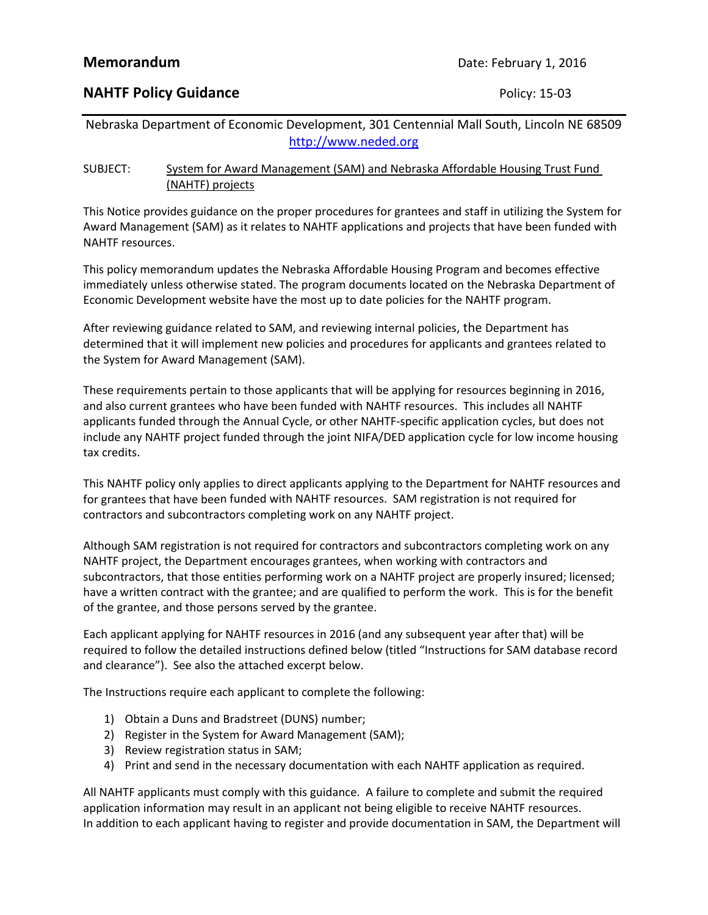### **NAHTF Policy Guidance Policy: 15-03**

Nebraska Department of Economic Development, 301 Centennial Mall South, Lincoln NE 68509 http://www.neded.org

### SUBJECT: System for Award Management (SAM) and Nebraska Affordable Housing Trust Fund (NAHTF) projects

This Notice provides guidance on the proper procedures for grantees and staff in utilizing the System for Award Management (SAM) as it relates to NAHTF applications and projects that have been funded with NAHTF resources.

This policy memorandum updates the Nebraska Affordable Housing Program and becomes effective immediately unless otherwise stated. The program documents located on the Nebraska Department of Economic Development website have the most up to date policies for the NAHTF program.

After reviewing guidance related to SAM, and reviewing internal policies, the Department has determined that it will implement new policies and procedures for applicants and grantees related to the System for Award Management (SAM).

These requirements pertain to those applicants that will be applying for resources beginning in 2016, and also current grantees who have been funded with NAHTF resources. This includes all NAHTF applicants funded through the Annual Cycle, or other NAHTF‐specific application cycles, but does not include any NAHTF project funded through the joint NIFA/DED application cycle for low income housing tax credits.

This NAHTF policy only applies to direct applicants applying to the Department for NAHTF resources and for grantees that have been funded with NAHTF resources. SAM registration is not required for contractors and subcontractors completing work on any NAHTF project.

Although SAM registration is not required for contractors and subcontractors completing work on any NAHTF project, the Department encourages grantees, when working with contractors and subcontractors, that those entities performing work on a NAHTF project are properly insured; licensed; have a written contract with the grantee; and are qualified to perform the work. This is for the benefit of the grantee, and those persons served by the grantee.

Each applicant applying for NAHTF resources in 2016 (and any subsequent year after that) will be required to follow the detailed instructions defined below (titled "Instructions for SAM database record and clearance"). See also the attached excerpt below.

The Instructions require each applicant to complete the following:

- 1) Obtain a Duns and Bradstreet (DUNS) number;
- 2) Register in the System for Award Management (SAM);
- 3) Review registration status in SAM;
- 4) Print and send in the necessary documentation with each NAHTF application as required.

All NAHTF applicants must comply with this guidance. A failure to complete and submit the required application information may result in an applicant not being eligible to receive NAHTF resources. In addition to each applicant having to register and provide documentation in SAM, the Department will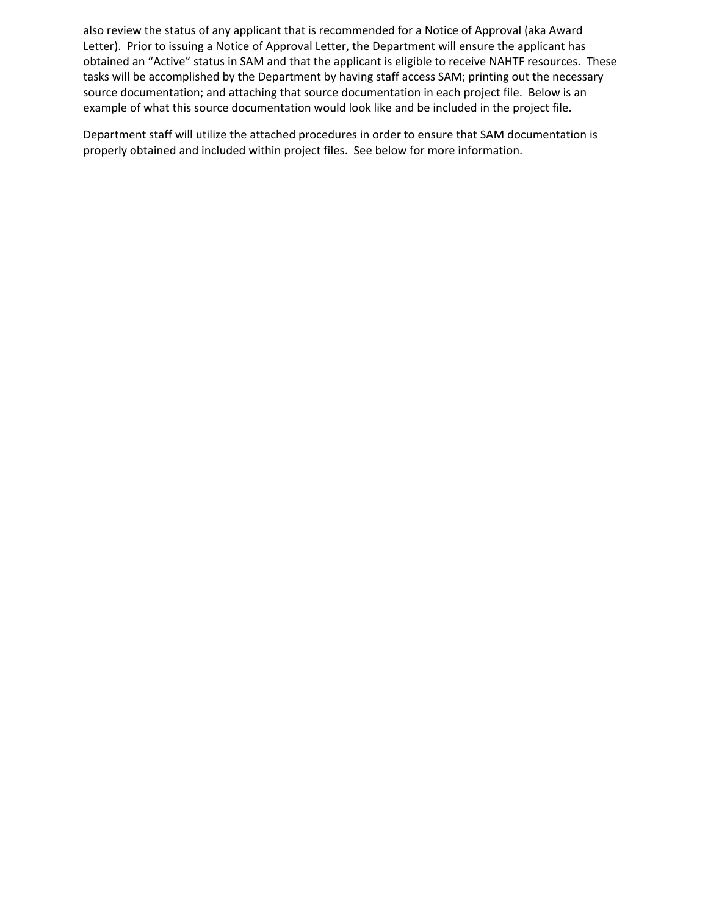also review the status of any applicant that is recommended for a Notice of Approval (aka Award Letter). Prior to issuing a Notice of Approval Letter, the Department will ensure the applicant has obtained an "Active" status in SAM and that the applicant is eligible to receive NAHTF resources. These tasks will be accomplished by the Department by having staff access SAM; printing out the necessary source documentation; and attaching that source documentation in each project file. Below is an example of what this source documentation would look like and be included in the project file.

Department staff will utilize the attached procedures in order to ensure that SAM documentation is properly obtained and included within project files. See below for more information.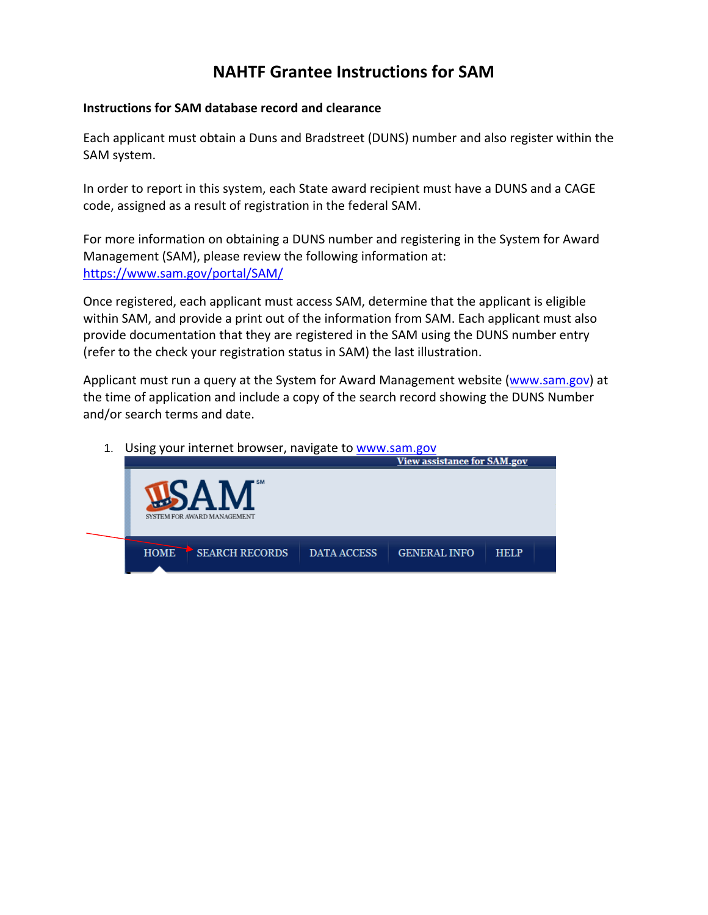## **NAHTF Grantee Instructions for SAM**

### **Instructions for SAM database record and clearance**

Each applicant must obtain a Duns and Bradstreet (DUNS) number and also register within the SAM system.

In order to report in this system, each State award recipient must have a DUNS and a CAGE code, assigned as a result of registration in the federal SAM.

For more information on obtaining a DUNS number and registering in the System for Award Management (SAM), please review the following information at: https://www.sam.gov/portal/SAM/

Once registered, each applicant must access SAM, determine that the applicant is eligible within SAM, and provide a print out of the information from SAM. Each applicant must also provide documentation that they are registered in the SAM using the DUNS number entry (refer to the check your registration status in SAM) the last illustration.

Applicant must run a query at the System for Award Management website (www.sam.gov) at the time of application and include a copy of the search record showing the DUNS Number and/or search terms and date.

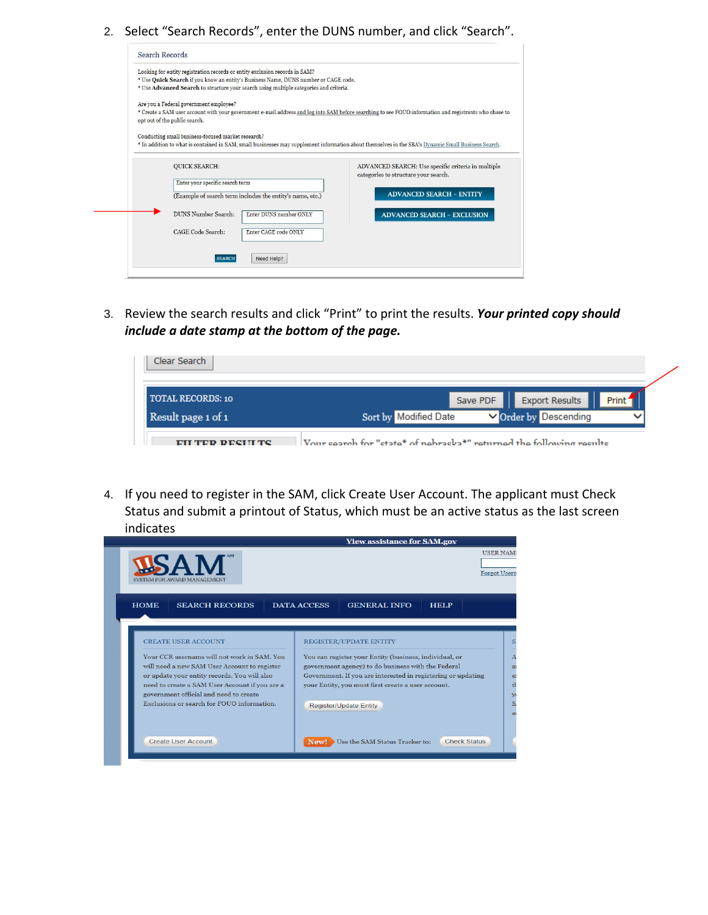2. Select "Search Records", enter the DUNS number, and click "Search".

| Looking for entity registration records or entity exclusion records in SAM?                                                                            |                                                    |
|--------------------------------------------------------------------------------------------------------------------------------------------------------|----------------------------------------------------|
| * Use Quick Search if you know an entity's Business Name, DUNS number or CAGE code.                                                                    |                                                    |
| * Use Advanced Search to structure your search using multiple categories and criteria.                                                                 |                                                    |
| Are you a Federal government employee?                                                                                                                 |                                                    |
| * Create a SAM user account with your government e-mail address and log into SAM before searching to see FOUO information and registrants who chose to |                                                    |
| opt out of the public search.                                                                                                                          |                                                    |
| Conducting small business-focused market research?                                                                                                     |                                                    |
| * In addition to what is contained in SAM, small businesses may supplement information about themselves in the SBA's Dynamic Small Business Search.    |                                                    |
|                                                                                                                                                        |                                                    |
|                                                                                                                                                        |                                                    |
|                                                                                                                                                        |                                                    |
| <b>OUICK SEARCH:</b>                                                                                                                                   |                                                    |
|                                                                                                                                                        | categories to structure your search.               |
| Enter your specific search term                                                                                                                        |                                                    |
| (Example of search term includes the entity's name, etc.)                                                                                              | <b>ADVANCED SEARCH - ENTITY</b>                    |
| DUNS Number Search:<br>Enter DUNS number ONLY                                                                                                          |                                                    |
|                                                                                                                                                        | <b>ADVANCED SEARCH - EXCLUSION</b>                 |
| CAGE Code Search:<br>Enter CAGE code ONLY                                                                                                              |                                                    |
|                                                                                                                                                        |                                                    |
|                                                                                                                                                        | ADVANCED SEARCH: Use specific criteria in multiple |

3. Review the search results and click "Print" to print the results. *Your printed copy should include a date stamp at the bottom of the page.*



4. If you need to register in the SAM, click Create User Account. The applicant must Check Status and submit a printout of Status, which must be an active status as the last screen indicates

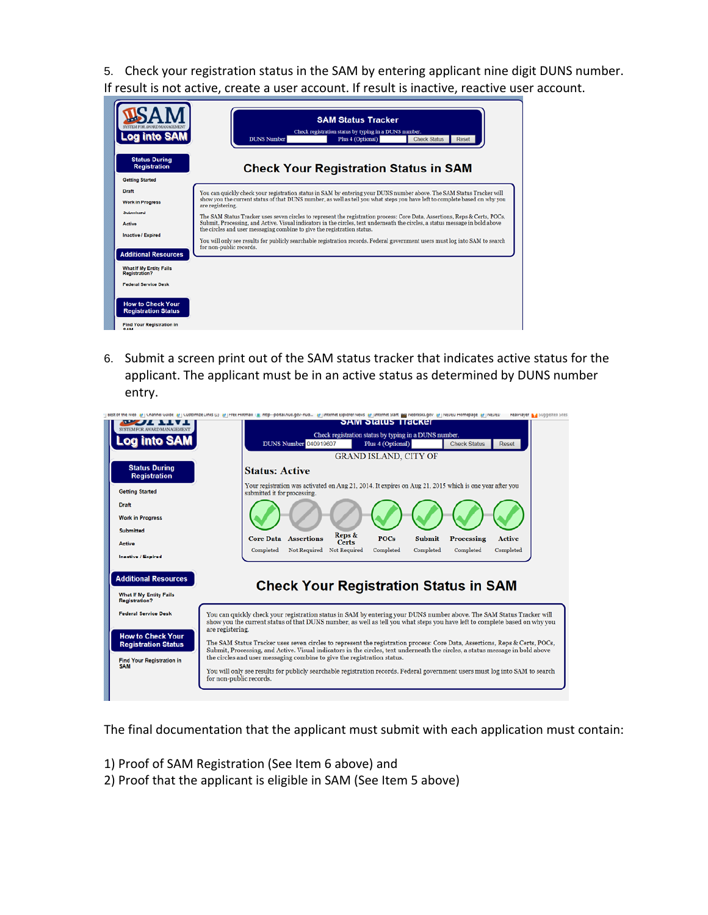5. Check your registration status in the SAM by entering applicant nine digit DUNS number. If result is not active, create a user account. If result is inactive, reactive user account.

| <b>Log into SAM</b>                                                                                                                                                          | <b>SAM Status Tracker</b><br>Check registration status by typing in a DUNS number.<br><b>DUNS Number</b><br><b>Check Status</b><br>Plus 4 (Optional)<br>Reset                                                                                                                                                                                                                                                                                                                                                                                                                                                                                                                                                                                                                 |
|------------------------------------------------------------------------------------------------------------------------------------------------------------------------------|-------------------------------------------------------------------------------------------------------------------------------------------------------------------------------------------------------------------------------------------------------------------------------------------------------------------------------------------------------------------------------------------------------------------------------------------------------------------------------------------------------------------------------------------------------------------------------------------------------------------------------------------------------------------------------------------------------------------------------------------------------------------------------|
| <b>Status During</b><br><b>Registration</b><br><b>Getting Started</b>                                                                                                        | <b>Check Your Registration Status in SAM</b>                                                                                                                                                                                                                                                                                                                                                                                                                                                                                                                                                                                                                                                                                                                                  |
| Draft<br><b>Work in Progress</b><br><b>Submitted</b><br>Active<br><b>Inactive / Expired</b><br><b>Additional Resources</b>                                                   | You can quickly check your registration status in SAM by entering your DUNS number above. The SAM Status Tracker will<br>show you the current status of that DUNS number, as well as tell you what steps you have left to complete based on why you<br>are registering.<br>The SAM Status Tracker uses seven circles to represent the registration process: Core Data, Assertions, Reps & Certs, POCs,<br>Submit, Processing, and Active. Visual indicators in the circles, text underneath the circles, a status message in bold above<br>the circles and user messaging combine to give the registration status.<br>You will only see results for publicly searchable registration records. Federal government users must log into SAM to search<br>for non-public records. |
| What If My Entity Fails<br><b>Registration?</b><br><b>Federal Service Desk</b><br><b>How to Check Your</b><br><b>Registration Status</b><br><b>Find Your Registration in</b> |                                                                                                                                                                                                                                                                                                                                                                                                                                                                                                                                                                                                                                                                                                                                                                               |

6. Submit a screen print out of the SAM status tracker that indicates active status for the applicant. The applicant must be in an active status as determined by DUNS number entry.

| SYSTEM FOR AWARD MANAGEMENT                                                                | <b>SAM STATUS TTACKET</b>                                                                                                                                                                                                                                                                                                               |
|--------------------------------------------------------------------------------------------|-----------------------------------------------------------------------------------------------------------------------------------------------------------------------------------------------------------------------------------------------------------------------------------------------------------------------------------------|
|                                                                                            | Check registration status by typing in a DUNS number.<br>DUNS Number 040919607<br><b>Check Status</b><br>Reset<br>Plus 4 (Optional)                                                                                                                                                                                                     |
|                                                                                            | <b>GRAND ISLAND, CITY OF</b>                                                                                                                                                                                                                                                                                                            |
| <b>Status During</b><br><b>Registration</b>                                                | <b>Status: Active</b>                                                                                                                                                                                                                                                                                                                   |
| <b>Getting Started</b>                                                                     | Your registration was activated on Aug 21, 2014. It expires on Aug 21, 2015 which is one year after you<br>submitted it for processing.                                                                                                                                                                                                 |
| <b>Draft</b><br><b>Work in Progress</b>                                                    |                                                                                                                                                                                                                                                                                                                                         |
| <b>Submitted</b>                                                                           | Reps &<br><b>Assertions</b><br><b>POCs</b><br><b>Submit</b>                                                                                                                                                                                                                                                                             |
| Active                                                                                     | <b>Core Data</b><br><b>Processing</b><br><b>Active</b><br><b>Certs</b><br><b>Not Required</b><br><b>Not Required</b><br>Completed<br>Completed<br>Completed<br>Completed<br>Completed                                                                                                                                                   |
| <b>Inactive / Expired</b>                                                                  |                                                                                                                                                                                                                                                                                                                                         |
| <b>Additional Resources</b><br><b>What If My Entity Fails</b><br><b>Registration?</b>      | <b>Check Your Registration Status in SAM</b>                                                                                                                                                                                                                                                                                            |
| <b>Federal Service Desk</b>                                                                | You can quickly check your registration status in SAM by entering your DUNS number above. The SAM Status Tracker will<br>show you the current status of that DUNS number, as well as tell you what steps you have left to complete based on why you<br>are registering.                                                                 |
| <b>How to Check Your</b><br><b>Registration Status</b><br><b>Find Your Registration in</b> | The SAM Status Tracker uses seven circles to represent the registration process: Core Data, Assertions, Reps & Certs, POCs,<br>Submit, Processing, and Active. Visual indicators in the circles, text underneath the circles, a status message in bold above<br>the circles and user messaging combine to give the registration status. |
| <b>SAM</b>                                                                                 | You will only see results for publicly searchable registration records. Federal government users must log into SAM to search<br>for non-public records.                                                                                                                                                                                 |

The final documentation that the applicant must submit with each application must contain:

- 1) Proof of SAM Registration (See Item 6 above) and
- 2) Proof that the applicant is eligible in SAM (See Item 5 above)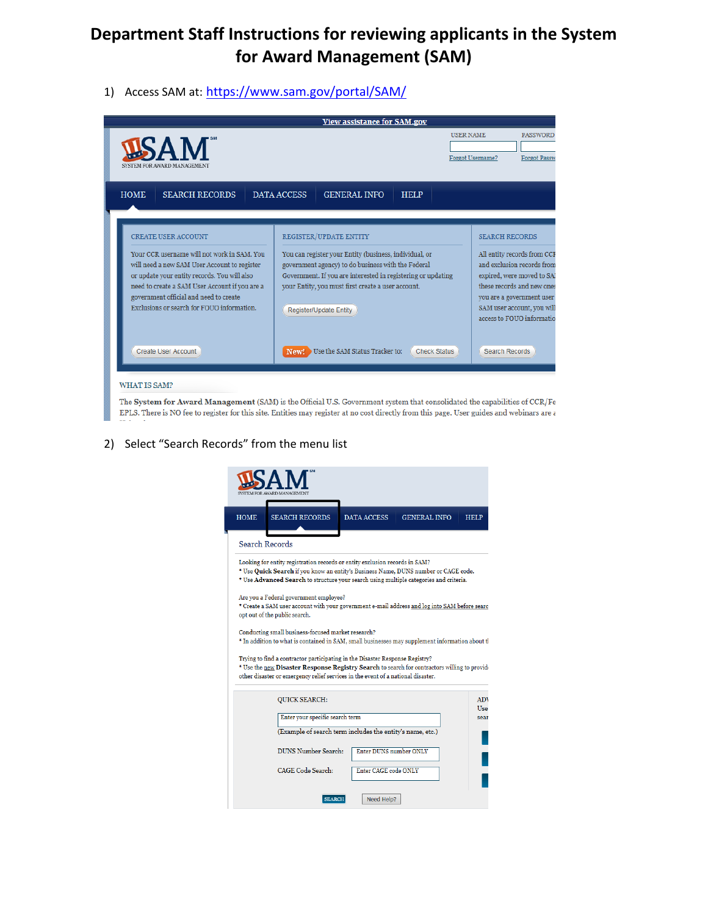# **Department Staff Instructions for reviewing applicants in the System for Award Management (SAM)**

1) Access SAM at: https://www.sam.gov/portal/SAM/



The System for Award Management (SAM) is the Official U.S. Government system that consolidated the capabilities of CCR/Fe EPLS. There is NO fee to register for this site. Entities may register at no cost directly from this page. User guides and webinars are a

#### 2) Select "Search Records" from the menu list

| <b>HOME</b> | <b>SEARCH RECORDS</b>                                                                                                                                                                                                                                                                                                                                                                                   | <b>DATA ACCESS</b>     | <b>GENERAL INFO</b> | <b>HELP</b> |
|-------------|---------------------------------------------------------------------------------------------------------------------------------------------------------------------------------------------------------------------------------------------------------------------------------------------------------------------------------------------------------------------------------------------------------|------------------------|---------------------|-------------|
|             | <b>Search Records</b>                                                                                                                                                                                                                                                                                                                                                                                   |                        |                     |             |
|             | Looking for entity registration records or entity exclusion records in SAM?<br>* Use Quick Search if you know an entity's Business Name, DUNS number or CAGE code.<br>* Use Advanced Search to structure your search using multiple categories and criteria.<br>Are you a Federal government employee?<br>* Create a SAM user account with your government e-mail address and log into SAM before searc |                        |                     |             |
|             | opt out of the public search.<br>Conducting small business-focused market research?                                                                                                                                                                                                                                                                                                                     |                        |                     |             |
|             |                                                                                                                                                                                                                                                                                                                                                                                                         |                        |                     |             |
|             | * In addition to what is contained in SAM, small businesses may supplement information about tl                                                                                                                                                                                                                                                                                                         |                        |                     |             |
|             | Trying to find a contractor participating in the Disaster Response Registry?<br>* Use the new Disaster Response Registry Search to search for contractors willing to provide<br>other disaster or emergency relief services in the event of a national disaster.                                                                                                                                        |                        |                     |             |
|             | <b>QUICK SEARCH:</b>                                                                                                                                                                                                                                                                                                                                                                                    |                        |                     |             |
|             | Enter your specific search term                                                                                                                                                                                                                                                                                                                                                                         |                        |                     |             |
|             | (Example of search term includes the entity's name, etc.)                                                                                                                                                                                                                                                                                                                                               |                        |                     |             |
|             | DUNS Number Search:                                                                                                                                                                                                                                                                                                                                                                                     | Enter DUNS number ONLY |                     |             |
|             | CAGE Code Search:                                                                                                                                                                                                                                                                                                                                                                                       | Enter CAGE code ONLY   |                     | <b>ADV</b>  |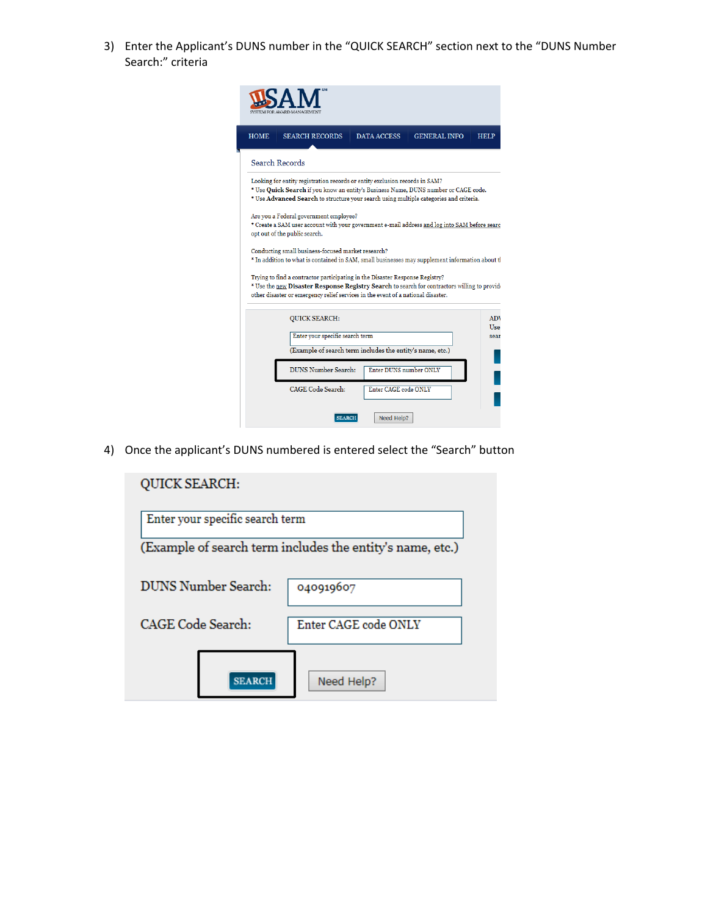3) Enter the Applicant's DUNS number in the "QUICK SEARCH" section next to the "DUNS Number Search:" criteria

| <b>HOME</b>                                                                                                                                                              | <b>SEARCH RECORDS</b>                                                                                                                                                                                                                                            | <b>DATA ACCESS</b>   | <b>GENERAL INFO</b> | <b>HELP</b>              |
|--------------------------------------------------------------------------------------------------------------------------------------------------------------------------|------------------------------------------------------------------------------------------------------------------------------------------------------------------------------------------------------------------------------------------------------------------|----------------------|---------------------|--------------------------|
|                                                                                                                                                                          | Search Records                                                                                                                                                                                                                                                   |                      |                     |                          |
|                                                                                                                                                                          | Looking for entity registration records or entity exclusion records in SAM?<br>* Use Quick Search if you know an entity's Business Name, DUNS number or CAGE code.<br>* Use Advanced Search to structure your search using multiple categories and criteria.     |                      |                     |                          |
| Are you a Federal government employee?<br>* Create a SAM user account with your government e-mail address and log into SAM before searc<br>opt out of the public search. |                                                                                                                                                                                                                                                                  |                      |                     |                          |
| Conducting small business-focused market research?<br>* In addition to what is contained in SAM, small businesses may supplement information about tl                    |                                                                                                                                                                                                                                                                  |                      |                     |                          |
|                                                                                                                                                                          | Trying to find a contractor participating in the Disaster Response Registry?<br>* Use the new Disaster Response Registry Search to search for contractors willing to provide<br>other disaster or emergency relief services in the event of a national disaster. |                      |                     |                          |
|                                                                                                                                                                          | <b>QUICK SEARCH:</b>                                                                                                                                                                                                                                             |                      |                     | <b>ADV</b><br><b>Hse</b> |
| Enter your specific search term<br>sear<br>(Example of search term includes the entity's name, etc.)                                                                     |                                                                                                                                                                                                                                                                  |                      |                     |                          |
| <b>DUNS Number Search:</b><br>Enter DUNS number ONLY                                                                                                                     |                                                                                                                                                                                                                                                                  |                      |                     |                          |
|                                                                                                                                                                          | <b>CAGE</b> Code Search:                                                                                                                                                                                                                                         | Enter CAGE code ONLY |                     |                          |
|                                                                                                                                                                          | <b>SEARCH</b>                                                                                                                                                                                                                                                    | Need Help?           |                     |                          |

4) Once the applicant's DUNS numbered is entered select the "Search" button

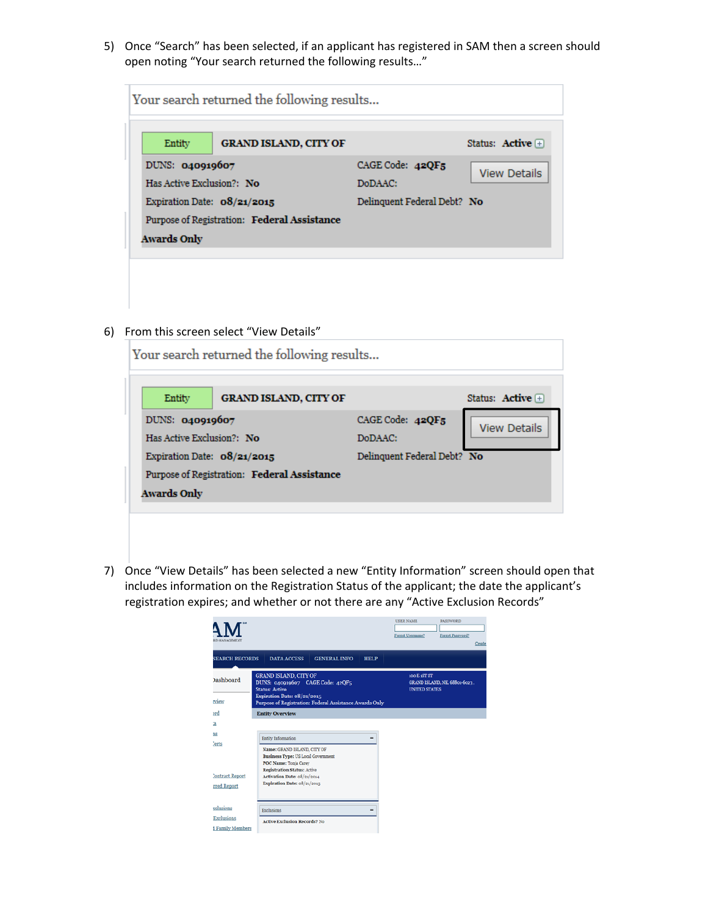5) Once "Search" has been selected, if an applicant has registered in SAM then a screen should open noting "Your search returned the following results…"

| Your search returned the following results |                                             |                             |                     |  |
|--------------------------------------------|---------------------------------------------|-----------------------------|---------------------|--|
| Entity                                     | <b>GRAND ISLAND, CITY OF</b>                |                             | Status: Active $+$  |  |
| DUNS: 040919607                            |                                             | CAGE Code: $42QF_5$         | <b>View Details</b> |  |
| Has Active Exclusion?: No                  |                                             | DoDAAC:                     |                     |  |
| Expiration Date: $08/21/2015$              |                                             | Delinquent Federal Debt? No |                     |  |
|                                            | Purpose of Registration: Federal Assistance |                             |                     |  |
| Awards Only                                |                                             |                             |                     |  |
|                                            |                                             |                             |                     |  |

6) From this screen select "View Details"

| Your search returned the following results  |                              |                             |                     |  |
|---------------------------------------------|------------------------------|-----------------------------|---------------------|--|
| Entity                                      | <b>GRAND ISLAND, CITY OF</b> |                             | Status: Active $+$  |  |
| DUNS: 040919607                             |                              | CAGE Code: 42QF5            | <b>View Details</b> |  |
| Has Active Exclusion?: No                   |                              | DoDAAC:                     |                     |  |
| Expiration Date: $08/21/2015$               |                              | Delinquent Federal Debt? No |                     |  |
| Purpose of Registration: Federal Assistance |                              |                             |                     |  |
| Awards Only                                 |                              |                             |                     |  |
|                                             |                              |                             |                     |  |

7) Once "View Details" has been selected a new "Entity Information" screen should open that includes information on the Registration Status of the applicant; the date the applicant's registration expires; and whether or not there are any "Active Exclusion Records"

| <b>RD MANAGEMENT</b>                  |                                                                                                                                                                                     | <b>USER NAME</b><br><b>PASSWORD</b><br>Forgot Username?<br>Forgot Password?<br>Create |
|---------------------------------------|-------------------------------------------------------------------------------------------------------------------------------------------------------------------------------------|---------------------------------------------------------------------------------------|
| <b>SEARCH RECORDS</b>                 | <b>DATA ACCESS</b><br><b>GENERAL INFO</b><br><b>HELP</b>                                                                                                                            |                                                                                       |
| <b>Jashboard</b><br>rview             | <b>GRAND ISLAND, CITY OF</b><br>DUNS: 040919607 CAGE Code: 42QF5<br><b>Status: Active</b><br>Expiration Date: 08/21/2015<br>Purpose of Registration: Federal Assistance Awards Only | 100 E 1ST ST<br>GRAND ISLAND, NE, 68801-6023,<br><b>UNITED STATES</b>                 |
| <sub>2</sub> rd                       | <b>Entity Overview</b>                                                                                                                                                              |                                                                                       |
| a                                     |                                                                                                                                                                                     |                                                                                       |
| 9S<br><b>Serts</b>                    | Entity Information                                                                                                                                                                  |                                                                                       |
|                                       | Name: GRAND ISLAND, CITY OF<br><b>Business Type: US Local Government</b><br>POC Name: Tonja Carey<br><b>Registration Status: Active</b>                                             |                                                                                       |
| <b>Contract Report</b><br>rred Report | Activation Date: 08/21/2014<br>Expiration Date: 08/21/2015                                                                                                                          |                                                                                       |
| <b>selusions</b>                      | Exclusions                                                                                                                                                                          |                                                                                       |
| Exclusions                            | <b>Active Exclusion Records? No</b>                                                                                                                                                 |                                                                                       |
| <b>I Family Members</b>               |                                                                                                                                                                                     |                                                                                       |